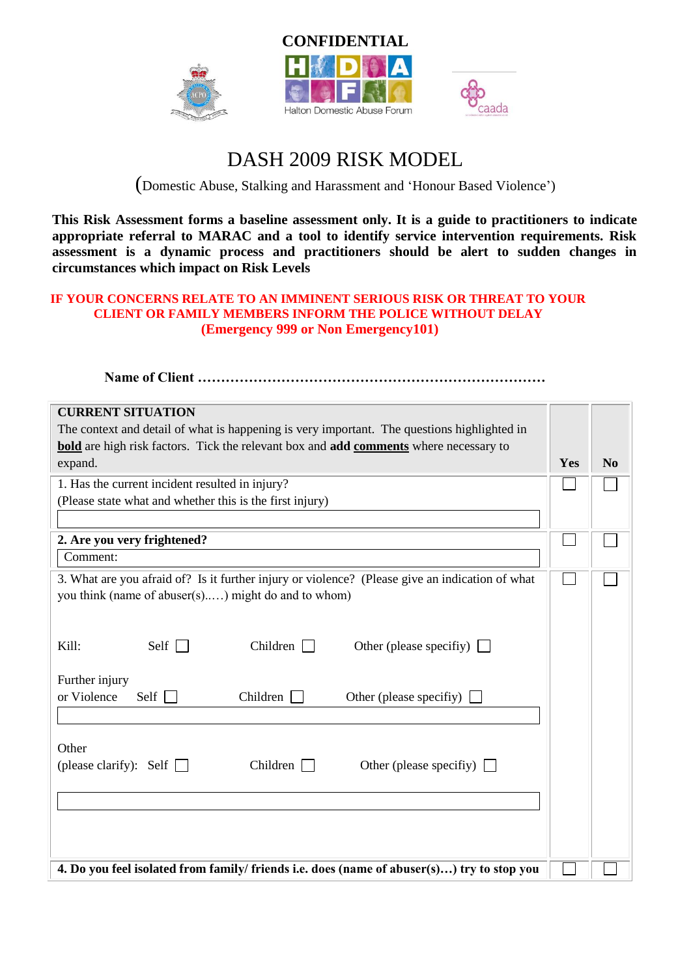





## DASH 2009 RISK MODEL

(Domestic Abuse, Stalking and Harassment and 'Honour Based Violence')

**This Risk Assessment forms a baseline assessment only. It is a guide to practitioners to indicate appropriate referral to MARAC and a tool to identify service intervention requirements. Risk assessment is a dynamic process and practitioners should be alert to sudden changes in circumstances which impact on Risk Levels**

## **IF YOUR CONCERNS RELATE TO AN IMMINENT SERIOUS RISK OR THREAT TO YOUR CLIENT OR FAMILY MEMBERS INFORM THE POLICE WITHOUT DELAY (Emergency 999 or Non Emergency101)**

**Name of Client …………………………………………………………………**

| <b>CURRENT SITUATION</b>                                                                        |     |                |  |
|-------------------------------------------------------------------------------------------------|-----|----------------|--|
| The context and detail of what is happening is very important. The questions highlighted in     |     |                |  |
| <b>bold</b> are high risk factors. Tick the relevant box and add comments where necessary to    |     |                |  |
| expand.                                                                                         | Yes | N <sub>0</sub> |  |
| 1. Has the current incident resulted in injury?                                                 |     |                |  |
| (Please state what and whether this is the first injury)                                        |     |                |  |
|                                                                                                 |     |                |  |
| 2. Are you very frightened?                                                                     |     |                |  |
| Comment:                                                                                        |     |                |  |
| 3. What are you afraid of? Is it further injury or violence? (Please give an indication of what |     |                |  |
| you think (name of abuser(s)) might do and to whom)                                             |     |                |  |
|                                                                                                 |     |                |  |
|                                                                                                 |     |                |  |
| Self $\Box$<br>Children<br>Kill:<br>Other (please specifiy) $\Box$                              |     |                |  |
|                                                                                                 |     |                |  |
| Further injury                                                                                  |     |                |  |
| or Violence<br>Children<br>Self $\Box$<br>Other (please specifiy)                               |     |                |  |
|                                                                                                 |     |                |  |
| Other                                                                                           |     |                |  |
| Children $\Box$<br>(please clarify): Self $\Box$<br>Other (please specifiy) $\Box$              |     |                |  |
|                                                                                                 |     |                |  |
|                                                                                                 |     |                |  |
|                                                                                                 |     |                |  |
|                                                                                                 |     |                |  |
|                                                                                                 |     |                |  |
| 4. Do you feel isolated from family/ friends i.e. does (name of abuser(s)) try to stop you      |     |                |  |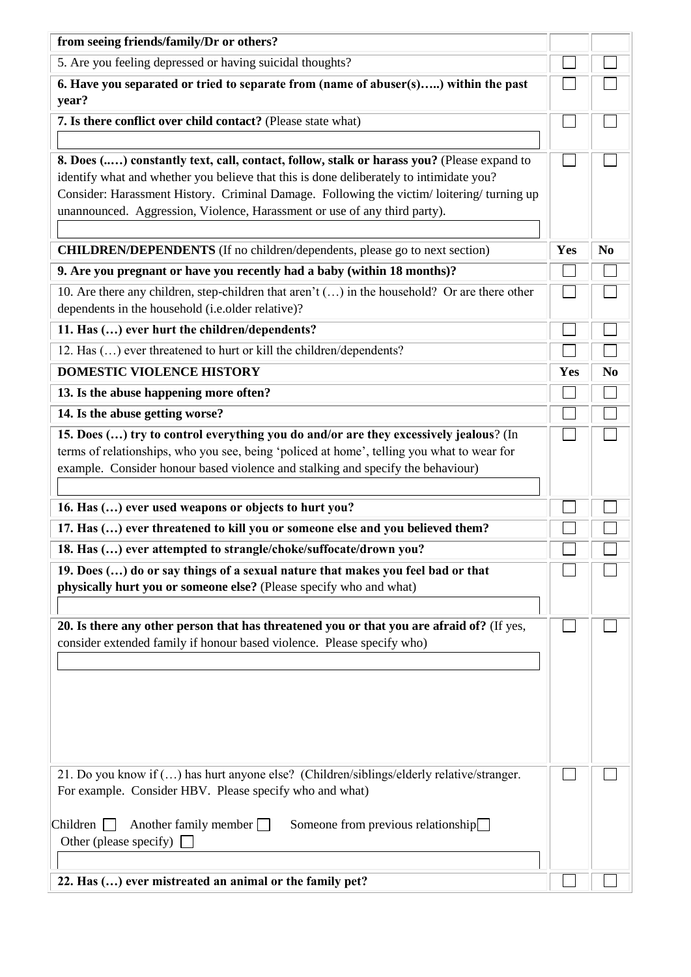| from seeing friends/family/Dr or others?                                                                                                                                                                                                                                                                                                                      |     |                |  |
|---------------------------------------------------------------------------------------------------------------------------------------------------------------------------------------------------------------------------------------------------------------------------------------------------------------------------------------------------------------|-----|----------------|--|
| 5. Are you feeling depressed or having suicidal thoughts?                                                                                                                                                                                                                                                                                                     |     |                |  |
| 6. Have you separated or tried to separate from (name of abuser(s)) within the past<br>year?                                                                                                                                                                                                                                                                  |     |                |  |
| 7. Is there conflict over child contact? (Please state what)                                                                                                                                                                                                                                                                                                  |     |                |  |
| 8. Does () constantly text, call, contact, follow, stalk or harass you? (Please expand to<br>identify what and whether you believe that this is done deliberately to intimidate you?<br>Consider: Harassment History. Criminal Damage. Following the victim/loitering/turning up<br>unannounced. Aggression, Violence, Harassment or use of any third party). |     |                |  |
| <b>CHILDREN/DEPENDENTS</b> (If no children/dependents, please go to next section)                                                                                                                                                                                                                                                                             | Yes | N <sub>0</sub> |  |
| 9. Are you pregnant or have you recently had a baby (within 18 months)?                                                                                                                                                                                                                                                                                       |     |                |  |
| 10. Are there any children, step-children that aren't $()$ in the household? Or are there other<br>dependents in the household (i.e.older relative)?                                                                                                                                                                                                          |     |                |  |
| 11. Has () ever hurt the children/dependents?                                                                                                                                                                                                                                                                                                                 |     |                |  |
| 12. Has () ever threatened to hurt or kill the children/dependents?                                                                                                                                                                                                                                                                                           |     |                |  |
| DOMESTIC VIOLENCE HISTORY                                                                                                                                                                                                                                                                                                                                     | Yes | N <sub>0</sub> |  |
| 13. Is the abuse happening more often?                                                                                                                                                                                                                                                                                                                        |     |                |  |
| 14. Is the abuse getting worse?                                                                                                                                                                                                                                                                                                                               |     |                |  |
| 15. Does () try to control everything you do and/or are they excessively jealous? (In<br>terms of relationships, who you see, being 'policed at home', telling you what to wear for<br>example. Consider honour based violence and stalking and specify the behaviour)                                                                                        |     |                |  |
| 16. Has () ever used weapons or objects to hurt you?                                                                                                                                                                                                                                                                                                          |     |                |  |
| 17. Has () ever threatened to kill you or someone else and you believed them?                                                                                                                                                                                                                                                                                 |     |                |  |
| 18. Has () ever attempted to strangle/choke/suffocate/drown you?                                                                                                                                                                                                                                                                                              |     |                |  |
| 19. Does () do or say things of a sexual nature that makes you feel bad or that<br>physically hurt you or someone else? (Please specify who and what)                                                                                                                                                                                                         |     |                |  |
| 20. Is there any other person that has threatened you or that you are afraid of? (If yes,<br>consider extended family if honour based violence. Please specify who)                                                                                                                                                                                           |     |                |  |
| 21. Do you know if () has hurt anyone else? (Children/siblings/elderly relative/stranger.                                                                                                                                                                                                                                                                     |     |                |  |
| For example. Consider HBV. Please specify who and what)<br>$Children$ $\Box$<br>Another family member $\Box$<br>Someone from previous relationship<br>Other (please specify)                                                                                                                                                                                  |     |                |  |
| 22. Has () ever mistreated an animal or the family pet?                                                                                                                                                                                                                                                                                                       |     |                |  |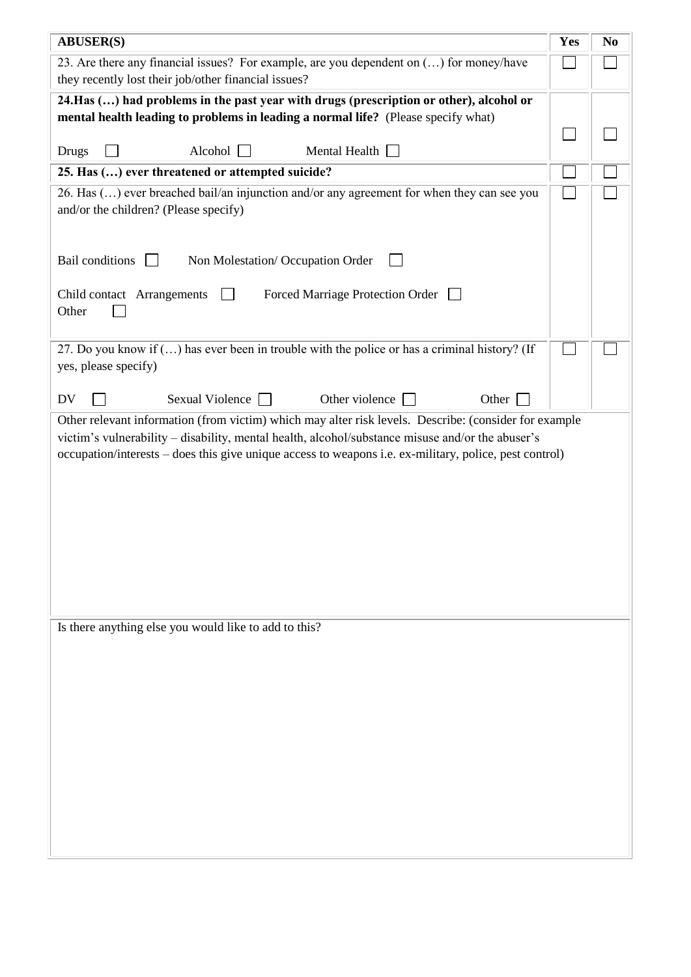| <b>ABUSER(S)</b>                                                                                                                                                                                                                                                                                                    | Yes | N <sub>0</sub> |
|---------------------------------------------------------------------------------------------------------------------------------------------------------------------------------------------------------------------------------------------------------------------------------------------------------------------|-----|----------------|
| 23. Are there any financial issues? For example, are you dependent on () for money/have<br>they recently lost their job/other financial issues?                                                                                                                                                                     |     |                |
| 24. Has () had problems in the past year with drugs (prescription or other), alcohol or                                                                                                                                                                                                                             |     |                |
| mental health leading to problems in leading a normal life? (Please specify what)                                                                                                                                                                                                                                   |     |                |
| Alcohol<br>Mental Health $\Box$<br>Drugs                                                                                                                                                                                                                                                                            |     |                |
| 25. Has () ever threatened or attempted suicide?                                                                                                                                                                                                                                                                    |     |                |
| 26. Has () ever breached bail/an injunction and/or any agreement for when they can see you<br>and/or the children? (Please specify)                                                                                                                                                                                 |     |                |
| <b>Bail conditions</b><br>Non Molestation/ Occupation Order                                                                                                                                                                                                                                                         |     |                |
| Child contact Arrangements<br>Forced Marriage Protection Order<br>Other                                                                                                                                                                                                                                             |     |                |
| 27. Do you know if () has ever been in trouble with the police or has a criminal history? (If<br>yes, please specify)                                                                                                                                                                                               |     |                |
| Sexual Violence<br>Other violence<br>DV<br>Other                                                                                                                                                                                                                                                                    |     |                |
| Other relevant information (from victim) which may alter risk levels. Describe: (consider for example<br>victim's vulnerability - disability, mental health, alcohol/substance misuse and/or the abuser's<br>occupation/interests – does this give unique access to weapons i.e. ex-military, police, pest control) |     |                |
| Is there anything else you would like to add to this?                                                                                                                                                                                                                                                               |     |                |
|                                                                                                                                                                                                                                                                                                                     |     |                |